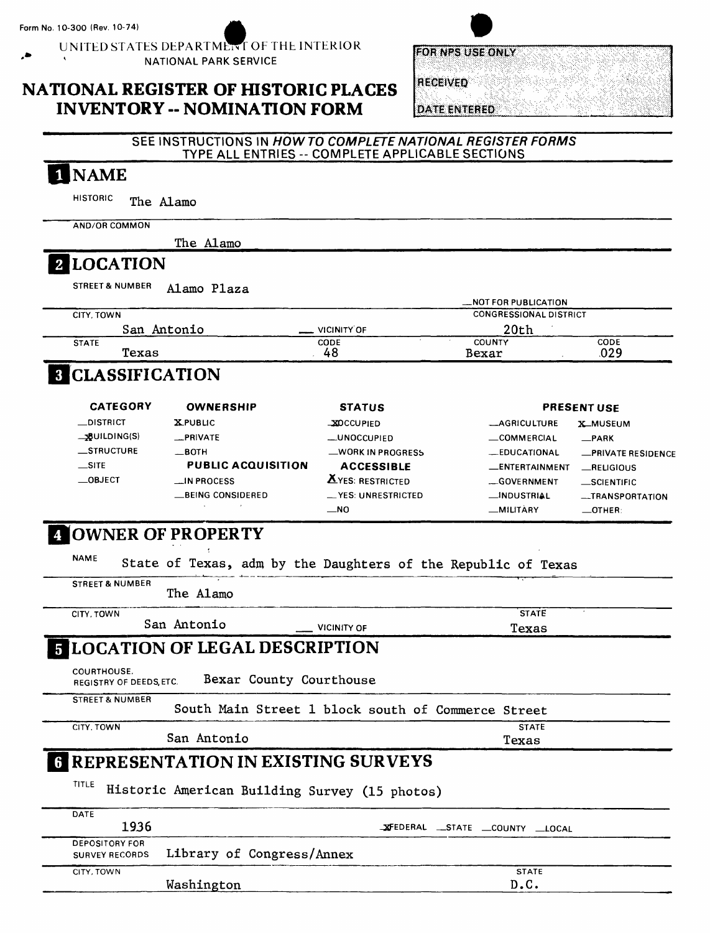UNITED STATES DEPARTMENT OF THE INTERIOR '\* \* NATIONAL PARK SERVICE

## **NATIONAL REGISTER OF HISTORIC PLACES INVENTORY -- NOMINATION FORM**

| FOR NPS USE ONLY |  |
|------------------|--|
| <b>RECEIVED</b>  |  |

**DATE ENTERED** 

#### **SEE INSTRUCTIONS IN** *HOW TO COMPLETE NATIONAL REGISTER FORMS*  TYPE ALL ENTRIES -- COMPLETE APPLICABLE SECTIONS

| <b>NAME</b>                                                      |                                                               |                         |                                       |                           |
|------------------------------------------------------------------|---------------------------------------------------------------|-------------------------|---------------------------------------|---------------------------|
| <b>HISTORIC</b><br>The Alamo                                     |                                                               |                         |                                       |                           |
| <b>AND/OR COMMON</b>                                             |                                                               |                         |                                       |                           |
|                                                                  | The Alamo                                                     |                         |                                       |                           |
| 2 LOCATION                                                       |                                                               |                         |                                       |                           |
| <b>STREET &amp; NUMBER</b>                                       | Alamo Plaza                                                   |                         |                                       |                           |
|                                                                  |                                                               |                         | <b>_NOT FOR PUBLICATION</b>           |                           |
| CITY, TOWN<br>San Antonio                                        |                                                               | <b>VICINITY OF</b>      | <b>CONGRESSIONAL DISTRICT</b><br>20th |                           |
| <b>STATE</b>                                                     |                                                               | CODE                    | COUNTY                                | CODE                      |
| Texas                                                            |                                                               | 48                      | Bexar                                 | .029                      |
| <b>8 CLASSIFICATION</b>                                          |                                                               |                         |                                       |                           |
| <b>CATEGORY</b>                                                  | <b>OWNERSHIP</b>                                              | <b>STATUS</b>           |                                       | <b>PRESENT USE</b>        |
| _DISTRICT                                                        | <b>XPUBLIC</b>                                                | <b>XOCCUPIED</b>        | -AGRICULTURE                          | <b>X_MUSEUM</b>           |
| $\rightarrow$ BUILDING(S)                                        | _PRIVATE                                                      | <b>__UNOCCUPIED</b>     | -COMMERCIAL                           | $-$ PARK                  |
| _STRUCTURE                                                       | $-$ BOTH                                                      | -WORK IN PROGRESS       | <b>LEDUCATIONAL</b>                   | <b>_PRIVATE RESIDENCE</b> |
| $\equiv$ SITE                                                    | <b>PUBLIC ACQUISITION</b>                                     | <b>ACCESSIBLE</b>       | <b>LENTERTAINMENT</b>                 | RELIGIOUS                 |
| $\_$ OBJECT                                                      | _IN PROCESS                                                   | <b>AYES: RESTRICTED</b> | -GOVERNMENT                           | _SCIENTIFIC               |
|                                                                  | _BEING CONSIDERED                                             | __ YES: UNRESTRICTED    | <b>__INDUSTRIAL</b>                   | -TRANSPORTATION           |
| 4 OWNER OF PROPERTY<br><b>NAME</b><br><b>STREET &amp; NUMBER</b> | State of Texas, adm by the Daughters of the Republic of Texas |                         |                                       |                           |
|                                                                  | The Alamo                                                     |                         |                                       |                           |
| CITY, TOWN                                                       | San Antonio                                                   |                         | <b>STATE</b>                          |                           |
|                                                                  |                                                               | <b>VICINITY OF</b>      | Texas                                 |                           |
|                                                                  | <b>5 LOCATION OF LEGAL DESCRIPTION</b>                        |                         |                                       |                           |
| <b>COURTHOUSE,</b><br>REGISTRY OF DEEDS, ETC.                    | Bexar County Courthouse                                       |                         |                                       |                           |
| <b>STREET &amp; NUMBER</b>                                       | South Main Street 1 block south of Commerce Street            |                         |                                       |                           |
| CITY, TOWN                                                       |                                                               |                         | <b>STATE</b>                          |                           |
|                                                                  | San Antonio                                                   |                         | Texas                                 |                           |
|                                                                  | <b>6 REPRESENTATION IN EXISTING SURVEYS</b>                   |                         |                                       |                           |
| TITLE                                                            | Historic American Building Survey (15 photos)                 |                         |                                       |                           |
| DATE<br>1936                                                     |                                                               |                         | XFEDERAL __ STATE __ COUNTY __ LOCAL  |                           |
| <b>DEPOSITORY FOR</b><br><b>SURVEY RECORDS</b>                   | Library of Congress/Annex                                     |                         |                                       |                           |
| CITY, TOWN                                                       |                                                               |                         | <b>STATE</b>                          |                           |
|                                                                  | Washington                                                    |                         | D.C.                                  |                           |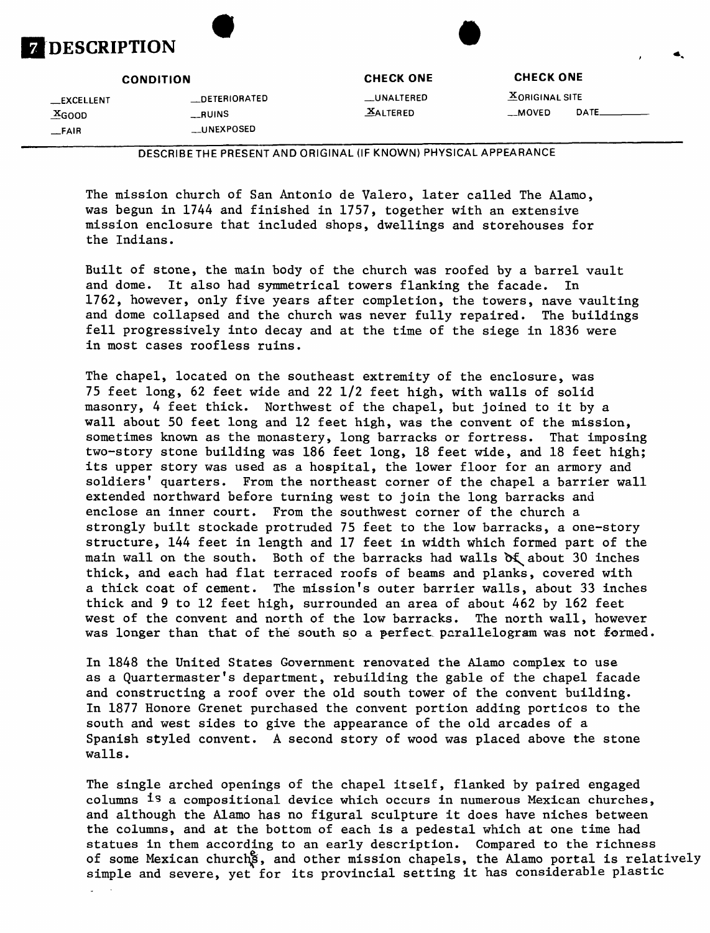

\_EXCELLENT \_DETERIORATED \_UNALTERED ^ORIGINAL SITE \_FAIR \_UNEXPOSED

**CONDITION CHECK ONE CHECK ONE**

 $\frac{X_{\text{GOOD}}}{X_{\text{GOOD}}}$   $\frac{X_{\text{AITERED}}}{X_{\text{AUPE}}}$   $\frac{X_{\text{AUPE}}}{X_{\text{AUPE}}}$ 

DESCRIBETHE PRESENT AND ORIGINAL (IF KNOWN) PHYSICAL APPEARANCE

The mission church of San Antonio de Valero, later called The Alamo, was begun in 1744 and finished in 1757, together with an extensive mission enclosure that included shops, dwellings and storehouses for the Indians.

Built of stone, the main body of the church was roofed by a barrel vault and dome. It also had symmetrical towers flanking the facade. In 1762, however, only five years after completion, the towers, nave vaulting and dome collapsed and the church was never fully repaired. The buildings fell progressively into decay and at the time of the siege in 1836 were in most cases roofless ruins.

The chapel, located on the southeast extremity of the enclosure, was 75 feet long, 62 feet wide and 22 1/2 feet high, with walls of solid masonry, 4 feet thick. Northwest of the chapel, but joined to it by a wall about 50 feet long and 12 feet high, was the convent of the mission, sometimes known as the monastery, long barracks or fortress. That imposing two-story stone building was 186 feet long, 18 feet wide, and 18 feet high; its upper story was used as a hospital, the lower floor for an armory and soldiers' quarters. From the northeast corner of the chapel a barrier wall extended northward before turning west to join the long barracks and enclose an inner court. From the southwest corner of the church a strongly built stockade protruded 75 feet to the low barracks, a one-story structure, 144 feet in length and 17 feet in width which formed part of the main wall on the south. Both of the barracks had walls  $\delta \xi$  about 30 inches thick, and each had flat terraced roofs of beams and planks, covered with a thick coat of cement. The mission's outer barrier walls, about 33 inches thick and 9 to 12 feet high, surrounded an area of about 462 by 162 feet west of the convent and north of the low barracks. The north wall, however was longer than that of the south so a perfect parallelogram was not formed.

In 1848 the United States Government renovated the Alamo complex to use as a Quartermaster's department, rebuilding the gable of the chapel facade and constructing a roof over the old south tower of the convent building. In 1877 Honore Grenet purchased the convent portion adding porticos to the south and west sides to give the appearance of the old arcades of a Spanish styled convent. A second story of wood was placed above the stone walls.

The single arched openings of the chapel itself, flanked by paired engaged columns is a compositional device which occurs in numerous Mexican churches, and although the Alamo has no figural sculpture it does have niches between the columns, and at the bottom of each is a pedestal which at one time had statues in them according to an early description. Compared to the richness of some Mexican church<sup>8</sup>, and other mission chapels, the Alamo portal is relatively simple and severe, yet for its provincial setting it has considerable plastic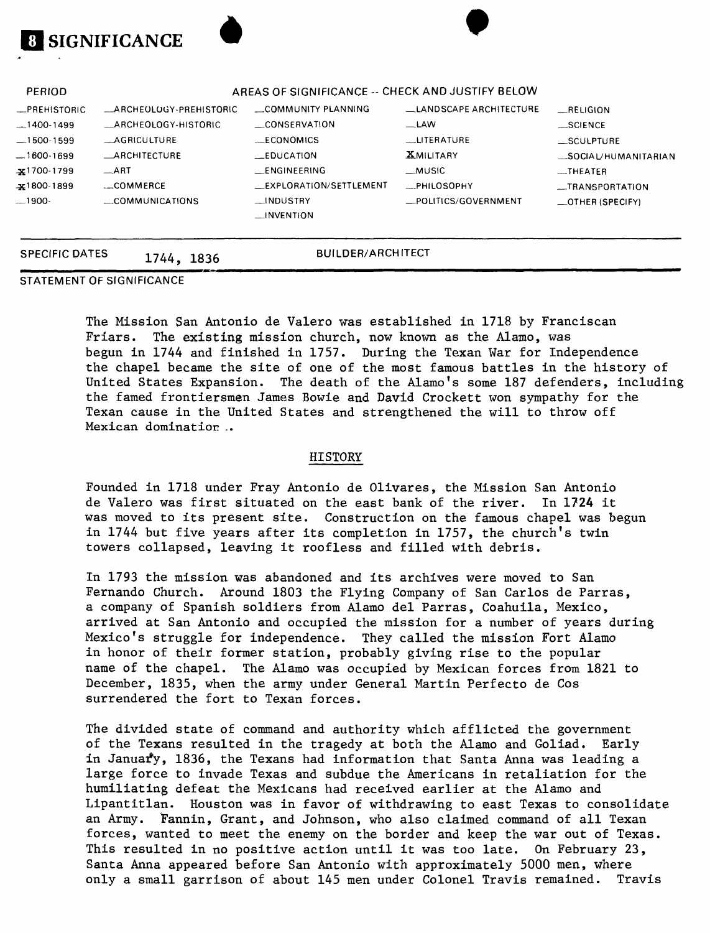| .e           |                         |                                                  |                        |                          |
|--------------|-------------------------|--------------------------------------------------|------------------------|--------------------------|
| PERIOD       |                         | AREAS OF SIGNIFICANCE -- CHECK AND JUSTIFY BELOW |                        |                          |
| _PREHISTORIC | _ARCHEOLOGY-PREHISTORIC | COMMUNITY PLANNING                               | LANDSCAPE ARCHITECTURE | RELIGION                 |
| $-1400-1499$ | ARCHEOLOGY-HISTORIC     | CONSERVATION                                     | $-LAW$                 | $\equiv$ SCIENCE         |
| $-1500-1599$ | <b>AGRICULTURE</b>      | <b>ECONOMICS</b>                                 | __LITERATURE           | SCULPTURE                |
| _1600-1699   | <b>ARCHITECTURE</b>     | LEDUCATION                                       | <b>XMILITARY</b>       | _SOCIAL/HUMANITARIAN     |
| x1700-1799   | $-ART$                  | <b>LENGINEERING</b>                              | _MUSIC                 | $-$ THEATER              |
| x1800-1899   | COMMERCE                | _EXPLORATION/SETTLEMENT                          | <b>EPHILOSOPHY</b>     | __TRANSPORTATION         |
| .1900-       | COMMUNICATIONS          | __INDUSTRY                                       | _POLITICS/GOVERNMENT   | $\equiv$ OTHER (SPECIFY) |
|              |                         | $\Box$ INVENTION                                 |                        |                          |
|              |                         |                                                  |                        |                          |

### SPECIFIC DATES 1744, 1836 BUILDER/ARCHITECT

STATEMENT OF SIGNIFICANCE

**SIGNIFICANCE**

The Mission San Antonio de Valero was established in 1718 by Franciscan Friars. The existing mission church, now known as the Alamo, was begun in 1744 and finished in 1757. During the Texan War for Independence the chapel became the site of one of the most famous battles in the history of United States Expansion. The death of the Alamo's some 187 defenders, including the famed frontiersmen James Bowie and David Crockett won sympathy for the Texan cause in the United States and strengthened the will to throw off Mexican domination ..

#### HISTORY

Founded in 1718 under Fray Antonio de Olivares, the Mission San Antonio de Valero was first situated on the east bank of the river. In 1724 it was moved to its present site. Construction on the famous chapel was begun in 1744 but five years after its completion in 1757, the church's twin towers collapsed, leaving it roofless and filled with debris.

In 1793 the mission was abandoned and its archives were moved to San Fernando Church. Around 1803 the Flying Company of San Carlos de Parras, a company of Spanish soldiers from Alamo del Parras, Coahuila, Mexico, arrived at San Antonio and occupied the mission for a number of years during Mexico's struggle for independence. They called the mission Fort Alamo in honor of their former station, probably giving rise to the popular name of the chapel. The Alamo was occupied by Mexican forces from 1821 to December, 1835, when the army under General Martin Perfecto de Cos surrendered the fort to Texan forces.

The divided state of command and authority which afflicted the government of the Texans resulted in the tragedy at both the Alamo and Goliad. Early in Januar'y, 1836, the Texans had information that Santa Anna was leading a large force to invade Texas and subdue the Americans in retaliation for the humiliating defeat the Mexicans had received earlier at the Alamo and Lipantitlan. Houston was in favor of withdrawing to east Texas to consolidate an Army. Fannin, Grant, and Johnson, who also claimed command of all Texan forces, wanted to meet the enemy on the border and keep the war out of Texas. This resulted in no positive action until it was too late. On February 23, Santa Anna appeared before San Antonio with approximately 5000 men, where only a small garrison of about 145 men under Colonel Travis remained. Travis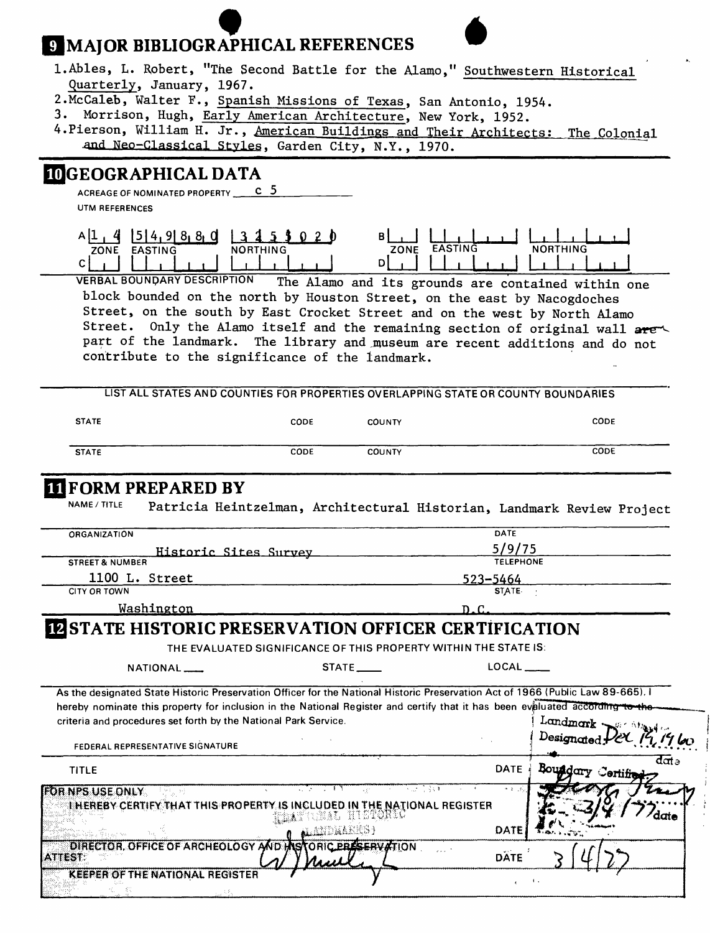# **9 MAJOR BIBLIOGRAPHICAL REFERENCES**

| 1. Ables, L. Robert, "The Second Battle for the Alamo," Southwestern Historical<br>Quarterly, January, 1967.<br>2. McCaleb, Walter F., Spanish Missions of Texas, San Antonio, 1954.<br>3. Morrison, Hugh, Early American Architecture, New York, 1952.<br>4. Pierson, William H. Jr., American Buildings and Their Architects: The Colonial | and Neo-Classical Styles, Garden City, N.Y., 1970.                                                                                                                                                                                                                                                                                                                            |                                       |                                                                       |                           |
|----------------------------------------------------------------------------------------------------------------------------------------------------------------------------------------------------------------------------------------------------------------------------------------------------------------------------------------------|-------------------------------------------------------------------------------------------------------------------------------------------------------------------------------------------------------------------------------------------------------------------------------------------------------------------------------------------------------------------------------|---------------------------------------|-----------------------------------------------------------------------|---------------------------|
| <b>IDGEOGRAPHICAL DATA</b><br>ACREAGE OF NOMINATED PROPERTY C 5<br>UTM REFERENCES                                                                                                                                                                                                                                                            |                                                                                                                                                                                                                                                                                                                                                                               |                                       |                                                                       |                           |
| All.4<br>$15$   4, 9  8, 8, 0<br>ZONE EASTING<br>C I<br><b>VERBAL BOUNDARY DESCRIPTION</b><br>Street.                                                                                                                                                                                                                                        | NORTHING<br>block bounded on the north by Houston Street, on the east by Nacogdoches<br>Street, on the south by East Crocket Street and on the west by North Alamo<br>Only the Alamo itself and the remaining section of original wall are<br>part of the landmark. The library and museum are recent additions and do not<br>contribute to the significance of the landmark. | ZONE EASTING<br>D                     | <b>NORTHING</b><br>The Alamo and its grounds are contained within one |                           |
|                                                                                                                                                                                                                                                                                                                                              | LIST ALL STATES AND COUNTIES FOR PROPERTIES OVERLAPPING STATE OR COUNTY BOUNDARIES                                                                                                                                                                                                                                                                                            |                                       |                                                                       |                           |
| <b>STATE</b>                                                                                                                                                                                                                                                                                                                                 | CODE                                                                                                                                                                                                                                                                                                                                                                          | <b>COUNTY</b>                         |                                                                       | CODE                      |
| <b>STATE</b>                                                                                                                                                                                                                                                                                                                                 | CODE                                                                                                                                                                                                                                                                                                                                                                          | <b>COUNTY</b>                         |                                                                       | CODE                      |
| <b>TI FORM PREPARED BY</b><br>NAME / TITLE<br><b>ORGANIZATION</b>                                                                                                                                                                                                                                                                            | Patricia Heintzelman, Architectural Historian, Landmark Review Project                                                                                                                                                                                                                                                                                                        |                                       | <b>DATE</b><br>5/9/75                                                 |                           |
| <b>STREET &amp; NUMBER</b>                                                                                                                                                                                                                                                                                                                   | Historic Sites Survey                                                                                                                                                                                                                                                                                                                                                         |                                       | <b>TELEPHONE</b>                                                      |                           |
| 1100 L. Street                                                                                                                                                                                                                                                                                                                               |                                                                                                                                                                                                                                                                                                                                                                               |                                       | 523–5464                                                              |                           |
| <b>CITY OR TOWN</b><br>Washington                                                                                                                                                                                                                                                                                                            |                                                                                                                                                                                                                                                                                                                                                                               |                                       | <b>STATE</b><br>D.C.                                                  |                           |
| <b>I2 STATE HISTORIC PRESERVATION OFFICER CERTIFICATION</b><br>NATIONAL <sub>___</sub><br>As the designated State Historic Preservation Officer for the National Historic Preservation Act of 1966 (Public Law 89-665). I                                                                                                                    | THE EVALUATED SIGNIFICANCE OF THIS PROPERTY WITHIN THE STATE IS:                                                                                                                                                                                                                                                                                                              | STATE                                 | $LOCAL$ <sub>----</sub>                                               |                           |
| hereby nominate this property for inclusion in the National Register and certify that it has been evaluated according to the<br>criteria and procedures set forth by the National Park Service.<br>FEDERAL REPRESENTATIVE SIGNATURE                                                                                                          |                                                                                                                                                                                                                                                                                                                                                                               |                                       |                                                                       | Landmark Serving          |
| <b>TITLE</b>                                                                                                                                                                                                                                                                                                                                 |                                                                                                                                                                                                                                                                                                                                                                               |                                       | <b>DATE</b>                                                           | data<br>Boundary Certific |
| FOR NPS USE ONLY                                                                                                                                                                                                                                                                                                                             |                                                                                                                                                                                                                                                                                                                                                                               | 医微小管 愛好車                              | $4.1 - 2$                                                             |                           |
| DIRECTOR, OFFICE OF ARCHEOLOGY AND H<br><b>ATTEST</b>                                                                                                                                                                                                                                                                                        | THEREBY CERTIFY THAT THIS PROPERTY IS INCLUDED IN THE NATIONAL REGISTER<br>tubal<br>KO X<br>knjih kras p                                                                                                                                                                                                                                                                      | RICKOMIA<br><b>TORIC PRESERVATION</b> | DATE<br><b>DATE</b>                                                   |                           |
| <b>KEEPER OF THE NATIONAL REGISTER</b>                                                                                                                                                                                                                                                                                                       |                                                                                                                                                                                                                                                                                                                                                                               |                                       | $\left\langle \cdot \right\rangle$ ,                                  |                           |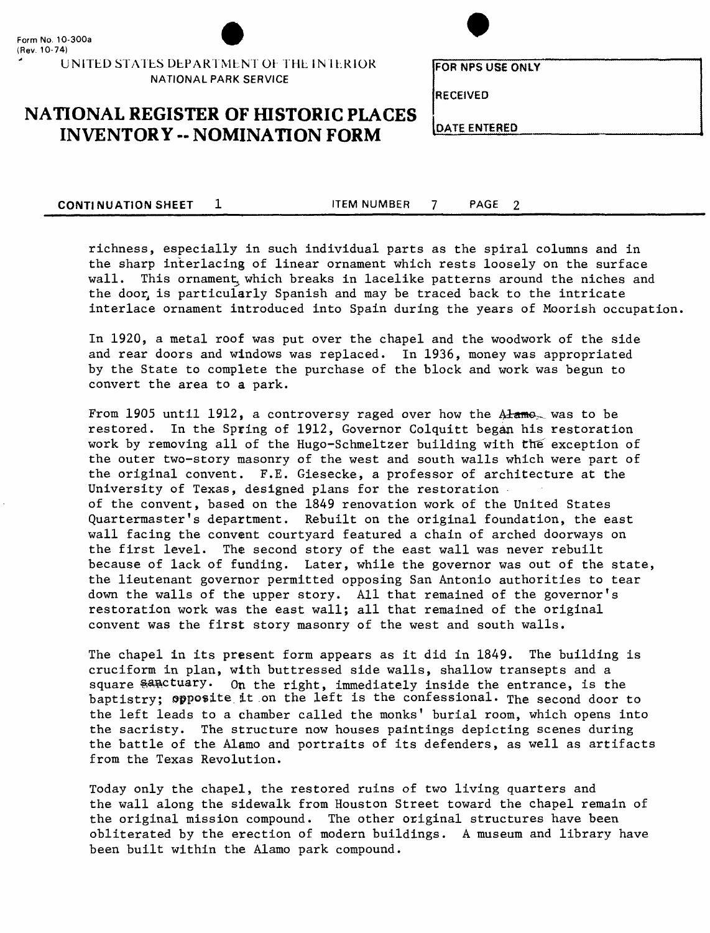

**UNITED STATES DEPARTMENT OF THE INTERIOR NATIONAL PARK SERVICE**



**FOR NFS USE ONLY**

**RECEIVED**

# **NATIONAL REGISTER OF HISTORIC PLACES**<br>INVENTORY -- NOMINATION FORM DATE ENTERED

**CONTINUATION SHEET 1** ITEM NUMBER 7 PAGE 2

richness, especially in such individual parts as the spiral columns and in the sharp interlacing of linear ornament which rests loosely on the surface wall. This ornament which breaks in lacelike patterns around the niches and the door is particularly Spanish and may be traced back to the intricate interlace ornament introduced into Spain during the years of Moorish occupation,

In 1920, a metal roof was put over the chapel and the woodwork of the side and rear doors and windows was replaced. In 1936, money was appropriated by the State to complete the purchase of the block and work was begun to convert the area to a park.

From 1905 until 1912, a controversy raged over how the  $\lambda$  hame was to be restored. In the Spring of 1912, Governor Colquitt began his restoration work by removing all of the Hugo-Schmeltzer building with the exception of the outer two-story masonry of the west and south walls which were part of the original convent. F.E. Giesecke, a professor of architecture at the University of Texas, designed plans for the restoration of the convent, based on the 1849 renovation work of the United States Quartermaster's department. Rebuilt on the original foundation, the east wall facing the convent courtyard featured a chain of arched doorways on the first level. The second story of the east wall was never rebuilt because of lack of funding. Later, while the governor was out of the state, the lieutenant governor permitted opposing San Antonio authorities to tear down the walls of the upper story. All that remained of the governor's restoration work was the east wall; all that remained of the original convent was the first story masonry of the west and south walls.

The chapel in its present form appears as it did in 1849. The building is cruciform in plan, with buttressed side walls, shallow transepts and a square sanctuary. On the right, immediately inside the entrance, is the baptistry; opposite it .on the left is the confessional. The second door to the left leads to a chamber called the monks' burial room, which opens into the sacristy. The structure now houses paintings depicting scenes during the battle of the Alamo and portraits of its defenders, as well as artifacts from the Texas Revolution.

Today only the chapel, the restored ruins of two living quarters and the wall along the sidewalk from Houston Street toward the chapel remain of the original mission compound. The other original structures have been obliterated by the erection of modern buildings. A museum and library have been built within the Alamo park compound.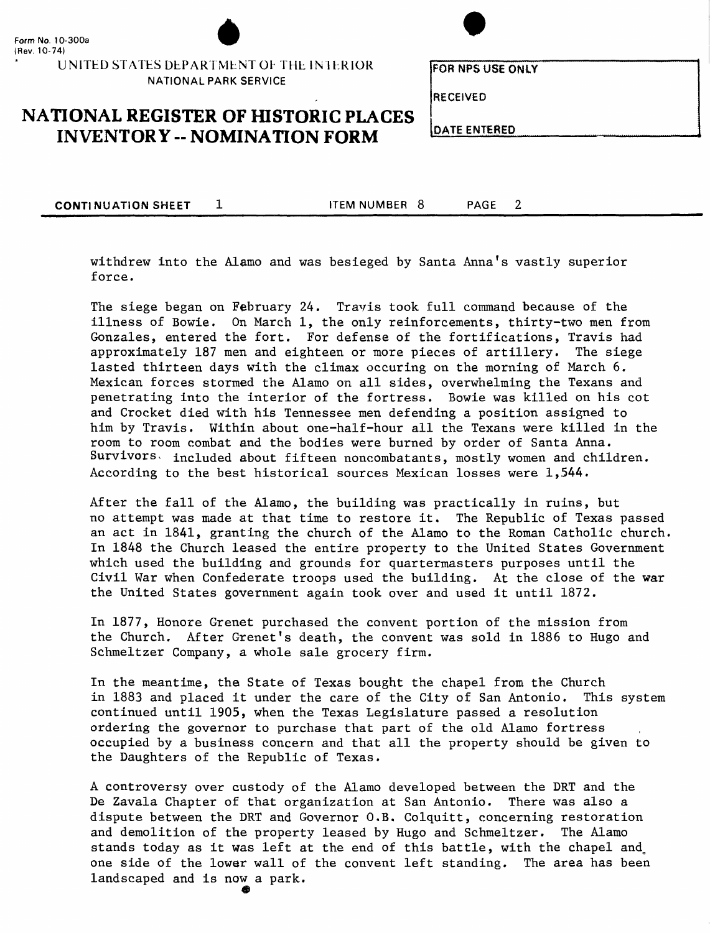

UNITED STATES DEPARTMENT OF THE INTERIOR NATIONAL PARK SERVICE



**FORNPSUSEONIY**

RECEIVED

**NATIONAL REGISTER OF HISTORIC PLACES**<br>INVENTORY -- NOMINATION FORM DATE ENTERED

**CONTINUATION SHEET 1 ITEM NUMBER 8 PAGE** 

 $\overline{2}$ 

withdrew into the Alamo and was besieged by Santa Anna's vastly superior force.

The siege began on February 24. Travis took full command because of the illness of Bowie. On March 1, the only reinforcements, thirty-two men from Gonzales, entered the fort. For defense of the fortifications, Travis had approximately 187 men and eighteen or more pieces of artillery. The siege lasted thirteen days with the climax occuring on the morning of March 6. Mexican forces stormed the Alamo on all sides, overwhelming the Texans and penetrating into the interior of the fortress. Bowie was killed on his cot and Crocket died with his Tennessee men defending a position assigned to him by Travis. Within about one-half-hour all the Texans were killed in the room to room combat and the bodies were burned by order of Santa Anna. Survivors, included about fifteen noncombatants, mostly women and children. According to the best historical sources Mexican losses were 1,544.

After the fall of the Alamo, the building was practically in ruins, but no attempt was made at that time to restore it. The Republic of Texas passed an act in 1841, granting the church of the Alamo to the Roman Catholic church. In 1848 the Church leased the entire property to the United States Government which used the building and grounds for quartermasters purposes until the Civil War when Confederate troops used the building. At the close of the war the United States government again took over and used it until 1872.

In 1877, Honore Grenet purchased the convent portion of the mission from the Church. After Grenet's death, the convent was sold in 1886 to Hugo and Schmeltzer Company, a whole sale grocery firm.

In the meantime, the State of Texas bought the chapel from the Church in 1883 and placed it under the care of the City of San Antonio. This system continued until 1905, when the Texas Legislature passed a resolution ordering the governor to purchase that part of the old Alamo fortress occupied by a business concern and that all the property should be given to the Daughters of the Republic of Texas.

A controversy over custody of the Alamo developed between the DRT and the De Zavala Chapter of that organization at San Antonio. There was also a dispute between the DRT and Governor O.B. Colquitt, concerning restoration and demolition of the property leased by Hugo and Schmeltzer. The Alamo stands today as it was left at the end of this battle, with the chapel and\_ one side of the lower wall of the convent left standing. The area has been landscaped and is now a park.